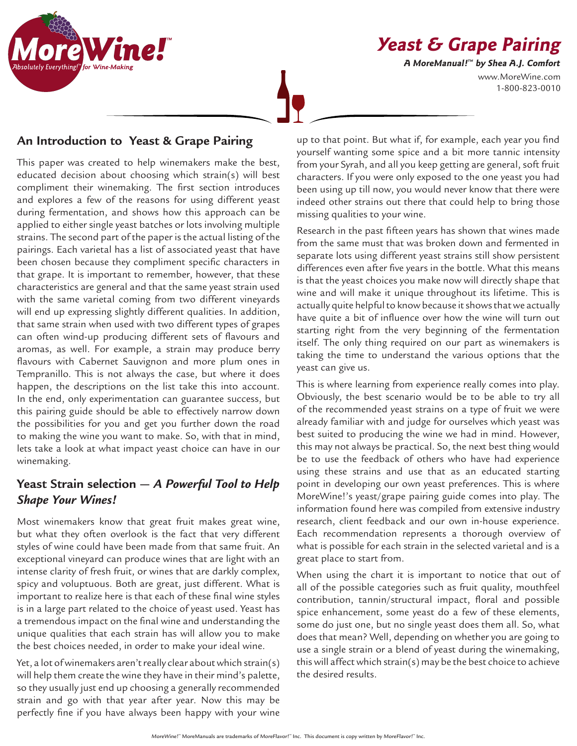www.MoreWine.com 1-800-823-0010 **Yeast & Grape Pairing A MoreManual! ™ by Shea A.J. Comfort**



## **An Introduction to Yeast & Grape Pairing**

This paper was created to help winemakers make the best, educated decision about choosing which strain(s) will best compliment their winemaking. The first section introduces and explores a few of the reasons for using different yeast during fermentation, and shows how this approach can be applied to either single yeast batches or lots involving multiple strains. The second part of the paper is the actual listing of the pairings. Each varietal has a list of associated yeast that have been chosen because they compliment specific characters in that grape. It is important to remember, however, that these characteristics are general and that the same yeast strain used with the same varietal coming from two different vineyards will end up expressing slightly different qualities. In addition, that same strain when used with two different types of grapes can often wind-up producing different sets of flavours and aromas, as well. For example, a strain may produce berry flavours with Cabernet Sauvignon and more plum ones in Tempranillo. This is not always the case, but where it does happen, the descriptions on the list take this into account. In the end, only experimentation can guarantee success, but this pairing guide should be able to effectively narrow down the possibilities for you and get you further down the road to making the wine you want to make. So, with that in mind, lets take a look at what impact yeast choice can have in our winemaking.

# **Yeast Strain selection —** *A Powerful Tool to Help Shape Your Wines!*

Most winemakers know that great fruit makes great wine, but what they often overlook is the fact that very different styles of wine could have been made from that same fruit. An exceptional vineyard can produce wines that are light with an intense clarity of fresh fruit, or wines that are darkly complex, spicy and voluptuous. Both are great, just different. What is important to realize here is that each of these final wine styles is in a large part related to the choice of yeast used. Yeast has a tremendous impact on the final wine and understanding the unique qualities that each strain has will allow you to make the best choices needed, in order to make your ideal wine.

Yet, a lot of winemakers aren't really clear about which strain(s) will help them create the wine they have in their mind's palette, so they usually just end up choosing a generally recommended strain and go with that year after year. Now this may be perfectly fine if you have always been happy with your wine

up to that point. But what if, for example, each year you find yourself wanting some spice and a bit more tannic intensity from your Syrah, and all you keep getting are general, soft fruit characters. If you were only exposed to the one yeast you had been using up till now, you would never know that there were indeed other strains out there that could help to bring those missing qualities to your wine.

Research in the past fifteen years has shown that wines made from the same must that was broken down and fermented in separate lots using different yeast strains still show persistent differences even after five years in the bottle. What this means is that the yeast choices you make now will directly shape that wine and will make it unique throughout its lifetime. This is actually quite helpful to know because it shows that we actually have quite a bit of influence over how the wine will turn out starting right from the very beginning of the fermentation itself. The only thing required on our part as winemakers is taking the time to understand the various options that the yeast can give us.

This is where learning from experience really comes into play. Obviously, the best scenario would be to be able to try all of the recommended yeast strains on a type of fruit we were already familiar with and judge for ourselves which yeast was best suited to producing the wine we had in mind. However, this may not always be practical. So, the next best thing would be to use the feedback of others who have had experience using these strains and use that as an educated starting point in developing our own yeast preferences. This is where MoreWine!'s yeast/grape pairing guide comes into play. The information found here was compiled from extensive industry research, client feedback and our own in-house experience. Each recommendation represents a thorough overview of what is possible for each strain in the selected varietal and is a great place to start from.

When using the chart it is important to notice that out of all of the possible categories such as fruit quality, mouthfeel contribution, tannin/structural impact, floral and possible spice enhancement, some yeast do a few of these elements, some do just one, but no single yeast does them all. So, what does that mean? Well, depending on whether you are going to use a single strain or a blend of yeast during the winemaking, this will affect which strain(s) may be the best choice to achieve the desired results.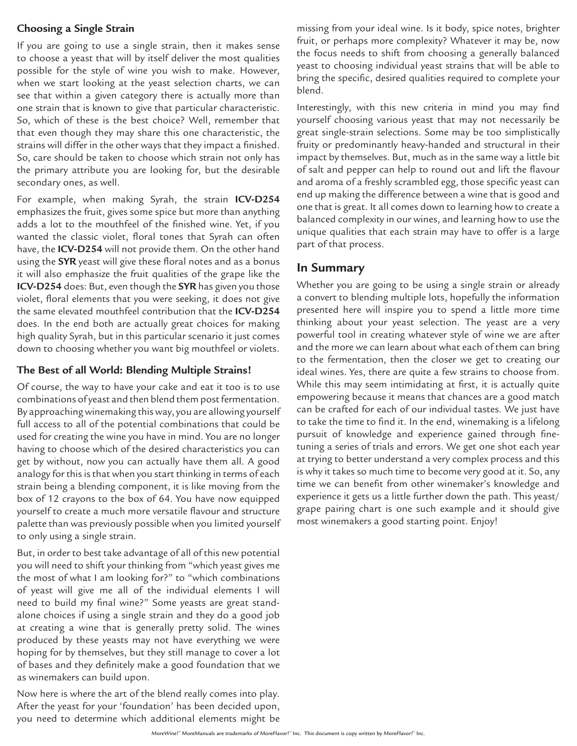#### **Choosing a Single Strain**

If you are going to use a single strain, then it makes sense to choose a yeast that will by itself deliver the most qualities possible for the style of wine you wish to make. However, when we start looking at the yeast selection charts, we can see that within a given category there is actually more than one strain that is known to give that particular characteristic. So, which of these is the best choice? Well, remember that that even though they may share this one characteristic, the strains will differ in the other ways that they impact a finished. So, care should be taken to choose which strain not only has the primary attribute you are looking for, but the desirable secondary ones, as well.

For example, when making Syrah, the strain **ICV-D254** emphasizes the fruit, gives some spice but more than anything adds a lot to the mouthfeel of the finished wine. Yet, if you wanted the classic violet, floral tones that Syrah can often have, the **ICV-D254** will not provide them. On the other hand using the **SYR** yeast will give these floral notes and as a bonus it will also emphasize the fruit qualities of the grape like the **ICV-D254** does: But, even though the **SYR** has given you those violet, floral elements that you were seeking, it does not give the same elevated mouthfeel contribution that the **ICV-D254** does. In the end both are actually great choices for making high quality Syrah, but in this particular scenario it just comes down to choosing whether you want big mouthfeel or violets.

#### **The Best of all World: Blending Multiple Strains!**

Of course, the way to have your cake and eat it too is to use combinations of yeast and then blend them post fermentation. By approaching winemaking this way, you are allowing yourself full access to all of the potential combinations that could be used for creating the wine you have in mind. You are no longer having to choose which of the desired characteristics you can get by without, now you can actually have them all. A good analogy for this is that when you start thinking in terms of each strain being a blending component, it is like moving from the box of 12 crayons to the box of 64. You have now equipped yourself to create a much more versatile flavour and structure palette than was previously possible when you limited yourself to only using a single strain.

But, in order to best take advantage of all of this new potential you will need to shift your thinking from "which yeast gives me the most of what I am looking for?" to "which combinations of yeast will give me all of the individual elements I will need to build my final wine?" Some yeasts are great standalone choices if using a single strain and they do a good job at creating a wine that is generally pretty solid. The wines produced by these yeasts may not have everything we were hoping for by themselves, but they still manage to cover a lot of bases and they definitely make a good foundation that we as winemakers can build upon.

Now here is where the art of the blend really comes into play. After the yeast for your 'foundation' has been decided upon, you need to determine which additional elements might be missing from your ideal wine. Is it body, spice notes, brighter fruit, or perhaps more complexity? Whatever it may be, now the focus needs to shift from choosing a generally balanced yeast to choosing individual yeast strains that will be able to bring the specific, desired qualities required to complete your blend.

Interestingly, with this new criteria in mind you may find yourself choosing various yeast that may not necessarily be great single-strain selections. Some may be too simplistically fruity or predominantly heavy-handed and structural in their impact by themselves. But, much as in the same way a little bit of salt and pepper can help to round out and lift the flavour and aroma of a freshly scrambled egg, those specific yeast can end up making the difference between a wine that is good and one that is great. It all comes down to learning how to create a balanced complexity in our wines, and learning how to use the unique qualities that each strain may have to offer is a large part of that process.

### **In Summary**

Whether you are going to be using a single strain or already a convert to blending multiple lots, hopefully the information presented here will inspire you to spend a little more time thinking about your yeast selection. The yeast are a very powerful tool in creating whatever style of wine we are after and the more we can learn about what each of them can bring to the fermentation, then the closer we get to creating our ideal wines. Yes, there are quite a few strains to choose from. While this may seem intimidating at first, it is actually quite empowering because it means that chances are a good match can be crafted for each of our individual tastes. We just have to take the time to find it. In the end, winemaking is a lifelong pursuit of knowledge and experience gained through finetuning a series of trials and errors. We get one shot each year at trying to better understand a very complex process and this is why it takes so much time to become very good at it. So, any time we can benefit from other winemaker's knowledge and experience it gets us a little further down the path. This yeast/ grape pairing chart is one such example and it should give most winemakers a good starting point. Enjoy!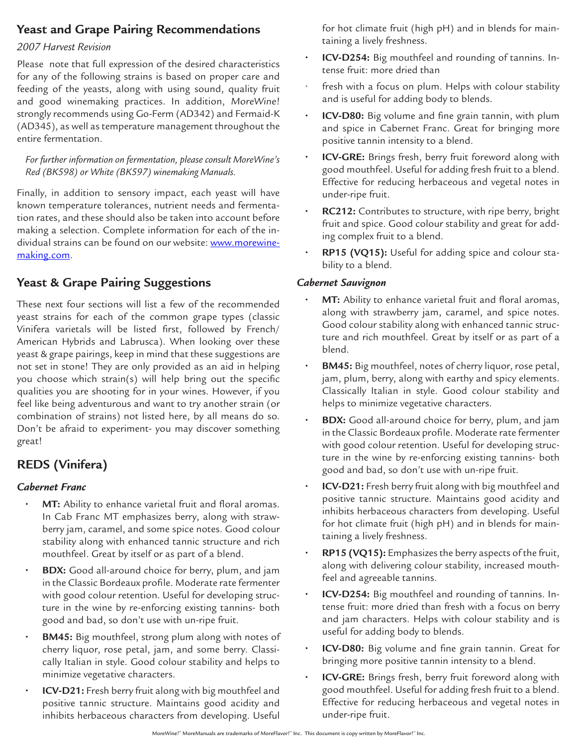# **Yeast and Grape Pairing Recommendations**

#### *2007 Harvest Revision*

Please note that full expression of the desired characteristics for any of the following strains is based on proper care and feeding of the yeasts, along with using sound, quality fruit and good winemaking practices. In addition, MoreWine! strongly recommends using Go-Ferm (AD342) and Fermaid-K (AD345), as well as temperature management throughout the entire fermentation.

*For further information on fermentation, please consult MoreWine's Red (BK598) or White (BK597) winemaking Manuals.*

Finally, in addition to sensory impact, each yeast will have known temperature tolerances, nutrient needs and fermentation rates, and these should also be taken into account before making a selection. Complete information for each of the individual strains can be found on our website: www.morewinemaking.com.

## **Yeast & Grape Pairing Suggestions**

These next four sections will list a few of the recommended yeast strains for each of the common grape types (classic Vinifera varietals will be listed first, followed by French/ American Hybrids and Labrusca). When looking over these yeast & grape pairings, keep in mind that these suggestions are not set in stone! They are only provided as an aid in helping you choose which strain(s) will help bring out the specific qualities you are shooting for in your wines. However, if you feel like being adventurous and want to try another strain (or combination of strains) not listed here, by all means do so. Don't be afraid to experiment- you may discover something great!

## **REDS (Vinifera)**

#### *Cabernet Franc*

- **MT:** Ability to enhance varietal fruit and floral aromas. In Cab Franc MT emphasizes berry, along with strawberry jam, caramel, and some spice notes. Good colour stability along with enhanced tannic structure and rich mouthfeel. Great by itself or as part of a blend.
- **• BDX:** Good all-around choice for berry, plum, and jam in the Classic Bordeaux profile. Moderate rate fermenter with good colour retention. Useful for developing structure in the wine by re-enforcing existing tannins- both good and bad, so don't use with un-ripe fruit.
- **• BM45:** Big mouthfeel, strong plum along with notes of cherry liquor, rose petal, jam, and some berry. Classically Italian in style. Good colour stability and helps to minimize vegetative characters.
- **• ICV-D21:** Fresh berry fruit along with big mouthfeel and positive tannic structure. Maintains good acidity and inhibits herbaceous characters from developing. Useful

for hot climate fruit (high pH) and in blends for maintaining a lively freshness.

- **• ICV-D254:** Big mouthfeel and rounding of tannins. Intense fruit: more dried than
- fresh with a focus on plum. Helps with colour stability and is useful for adding body to blends.
- **• ICV-D80:** Big volume and fine grain tannin, with plum and spice in Cabernet Franc. Great for bringing more positive tannin intensity to a blend.
- **• ICV-GRE:** Brings fresh, berry fruit foreword along with good mouthfeel. Useful for adding fresh fruit to a blend. Effective for reducing herbaceous and vegetal notes in under-ripe fruit.
- **• RC212:** Contributes to structure, with ripe berry, bright fruit and spice. Good colour stability and great for adding complex fruit to a blend.
- **• RP15 (VQ15):** Useful for adding spice and colour stability to a blend.

#### *Cabernet Sauvignon*

- **MT:** Ability to enhance varietal fruit and floral aromas, along with strawberry jam, caramel, and spice notes. Good colour stability along with enhanced tannic structure and rich mouthfeel. Great by itself or as part of a blend.
- **• BM45:** Big mouthfeel, notes of cherry liquor, rose petal, jam, plum, berry, along with earthy and spicy elements. Classically Italian in style. Good colour stability and helps to minimize vegetative characters.
- **• BDX:** Good all-around choice for berry, plum, and jam in the Classic Bordeaux profile. Moderate rate fermenter with good colour retention. Useful for developing structure in the wine by re-enforcing existing tannins- both good and bad, so don't use with un-ripe fruit.
- **• ICV-D21:** Fresh berry fruit along with big mouthfeel and positive tannic structure. Maintains good acidity and inhibits herbaceous characters from developing. Useful for hot climate fruit (high pH) and in blends for maintaining a lively freshness.
- **• RP15 (VQ15):** Emphasizes the berry aspects of the fruit, along with delivering colour stability, increased mouthfeel and agreeable tannins.
- **• ICV-D254:** Big mouthfeel and rounding of tannins. Intense fruit: more dried than fresh with a focus on berry and jam characters. Helps with colour stability and is useful for adding body to blends.
- **• ICV-D80:** Big volume and fine grain tannin. Great for bringing more positive tannin intensity to a blend.
- **• ICV-GRE:** Brings fresh, berry fruit foreword along with good mouthfeel. Useful for adding fresh fruit to a blend. Effective for reducing herbaceous and vegetal notes in under-ripe fruit.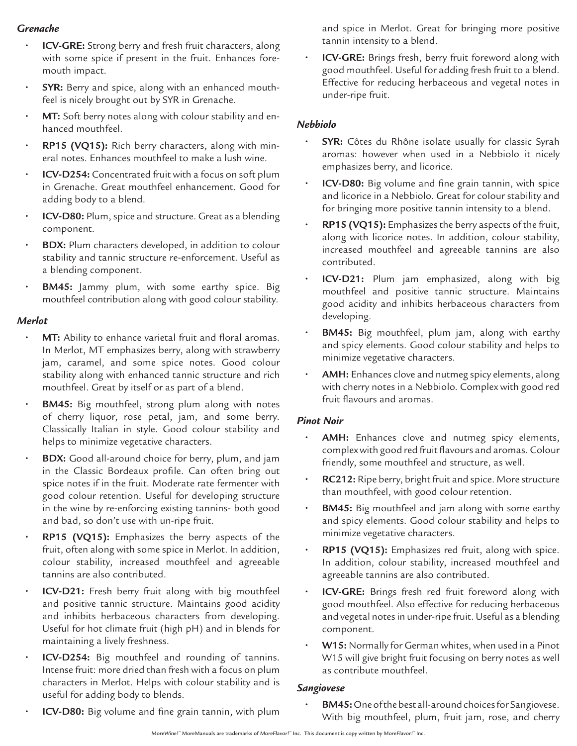### *Grenache*

- **• ICV-GRE:** Strong berry and fresh fruit characters, along with some spice if present in the fruit. Enhances foremouth impact.
- **• SYR:** Berry and spice, along with an enhanced mouthfeel is nicely brought out by SYR in Grenache.
- **• MT:** Soft berry notes along with colour stability and enhanced mouthfeel.
- **• RP15 (VQ15):** Rich berry characters, along with mineral notes. Enhances mouthfeel to make a lush wine.
- **• ICV-D254:** Concentrated fruit with a focus on soft plum in Grenache. Great mouthfeel enhancement. Good for adding body to a blend.
- **• ICV-D80:** Plum, spice and structure. Great as a blending component.
- **• BDX:** Plum characters developed, in addition to colour stability and tannic structure re-enforcement. Useful as a blending component.
- **BM45:** Jammy plum, with some earthy spice. Big mouthfeel contribution along with good colour stability.

#### *Merlot*

- **MT:** Ability to enhance varietal fruit and floral aromas. In Merlot, MT emphasizes berry, along with strawberry jam, caramel, and some spice notes. Good colour stability along with enhanced tannic structure and rich mouthfeel. Great by itself or as part of a blend.
- **BM45:** Big mouthfeel, strong plum along with notes of cherry liquor, rose petal, jam, and some berry. Classically Italian in style. Good colour stability and helps to minimize vegetative characters.
- **• BDX:** Good all-around choice for berry, plum, and jam in the Classic Bordeaux profile. Can often bring out spice notes if in the fruit. Moderate rate fermenter with good colour retention. Useful for developing structure in the wine by re-enforcing existing tannins- both good and bad, so don't use with un-ripe fruit.
- **• RP15 (VQ15):** Emphasizes the berry aspects of the fruit, often along with some spice in Merlot. In addition, colour stability, increased mouthfeel and agreeable tannins are also contributed.
- **• ICV-D21:** Fresh berry fruit along with big mouthfeel and positive tannic structure. Maintains good acidity and inhibits herbaceous characters from developing. Useful for hot climate fruit (high pH) and in blends for maintaining a lively freshness.
- **• ICV-D254:** Big mouthfeel and rounding of tannins. Intense fruit: more dried than fresh with a focus on plum characters in Merlot. Helps with colour stability and is useful for adding body to blends.
- and spice in Merlot. Great for bringing more positive tannin intensity to a blend.
- **• ICV-GRE:** Brings fresh, berry fruit foreword along with good mouthfeel. Useful for adding fresh fruit to a blend. Effective for reducing herbaceous and vegetal notes in under-ripe fruit.

### *Nebbiolo*

- **SYR:** Côtes du Rhône isolate usually for classic Syrah aromas: however when used in a Nebbiolo it nicely emphasizes berry, and licorice.
- **• ICV-D80:** Big volume and fine grain tannin, with spice and licorice in a Nebbiolo. Great for colour stability and for bringing more positive tannin intensity to a blend.
- **• RP15 (VQ15):** Emphasizes the berry aspects of the fruit, along with licorice notes. In addition, colour stability, increased mouthfeel and agreeable tannins are also contributed.
- **• ICV-D21:** Plum jam emphasized, along with big mouthfeel and positive tannic structure. Maintains good acidity and inhibits herbaceous characters from developing.
- **• BM45:** Big mouthfeel, plum jam, along with earthy and spicy elements. Good colour stability and helps to minimize vegetative characters.
- **• AMH:** Enhances clove and nutmeg spicy elements, along with cherry notes in a Nebbiolo. Complex with good red fruit flavours and aromas.

#### *Pinot Noir*

- AMH: Enhances clove and nutmeg spicy elements, complex with good red fruit flavours and aromas. Colour friendly, some mouthfeel and structure, as well.
- **• RC212:** Ripe berry, bright fruit and spice. More structure than mouthfeel, with good colour retention.
- **• BM45:** Big mouthfeel and jam along with some earthy and spicy elements. Good colour stability and helps to minimize vegetative characters.
- **• RP15 (VQ15):** Emphasizes red fruit, along with spice. In addition, colour stability, increased mouthfeel and agreeable tannins are also contributed.
- **• ICV-GRE:** Brings fresh red fruit foreword along with good mouthfeel. Also effective for reducing herbaceous and vegetal notes in under-ripe fruit. Useful as a blending component.
- **• W15:** Normally for German whites, when used in a Pinot W15 will give bright fruit focusing on berry notes as well as contribute mouthfeel.

#### *Sangiovese*

**• BM45:** One of the best all-around choices for Sangiovese. With big mouthfeel, plum, fruit jam, rose, and cherry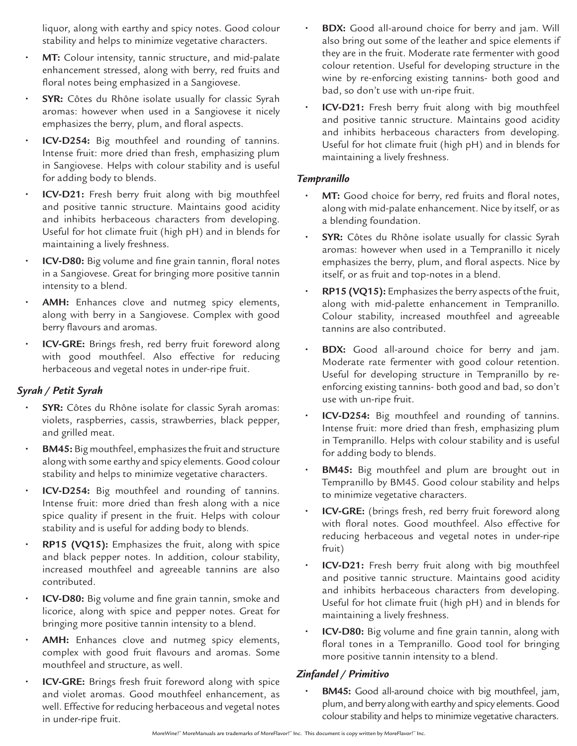liquor, along with earthy and spicy notes. Good colour stability and helps to minimize vegetative characters.

- **• MT:** Colour intensity, tannic structure, and mid-palate enhancement stressed, along with berry, red fruits and floral notes being emphasized in a Sangiovese.
- **• SYR:** Côtes du Rhône isolate usually for classic Syrah aromas: however when used in a Sangiovese it nicely emphasizes the berry, plum, and floral aspects.
- **• ICV-D254:** Big mouthfeel and rounding of tannins. Intense fruit: more dried than fresh, emphasizing plum in Sangiovese. Helps with colour stability and is useful for adding body to blends.
- **• ICV-D21:** Fresh berry fruit along with big mouthfeel and positive tannic structure. Maintains good acidity and inhibits herbaceous characters from developing. Useful for hot climate fruit (high pH) and in blends for maintaining a lively freshness.
- **• ICV-D80:** Big volume and fine grain tannin, floral notes in a Sangiovese. Great for bringing more positive tannin intensity to a blend.
- **• AMH:** Enhances clove and nutmeg spicy elements, along with berry in a Sangiovese. Complex with good berry flavours and aromas.
- **• ICV-GRE:** Brings fresh, red berry fruit foreword along with good mouthfeel. Also effective for reducing herbaceous and vegetal notes in under-ripe fruit.

#### *Syrah / Petit Syrah*

- **• SYR:** Côtes du Rhône isolate for classic Syrah aromas: violets, raspberries, cassis, strawberries, black pepper, and grilled meat.
- **• BM45:** Big mouthfeel, emphasizes the fruit and structure along with some earthy and spicy elements. Good colour stability and helps to minimize vegetative characters.
- **• ICV-D254:** Big mouthfeel and rounding of tannins. Intense fruit: more dried than fresh along with a nice spice quality if present in the fruit. Helps with colour stability and is useful for adding body to blends.
- **• RP15 (VQ15):** Emphasizes the fruit, along with spice and black pepper notes. In addition, colour stability, increased mouthfeel and agreeable tannins are also contributed.
- **• ICV-D80:** Big volume and fine grain tannin, smoke and licorice, along with spice and pepper notes. Great for bringing more positive tannin intensity to a blend.
- **• AMH:** Enhances clove and nutmeg spicy elements, complex with good fruit flavours and aromas. Some mouthfeel and structure, as well.
- **• ICV-GRE:** Brings fresh fruit foreword along with spice and violet aromas. Good mouthfeel enhancement, as well. Effective for reducing herbaceous and vegetal notes in under-ripe fruit.
- **BDX:** Good all-around choice for berry and jam. Will also bring out some of the leather and spice elements if they are in the fruit. Moderate rate fermenter with good colour retention. Useful for developing structure in the wine by re-enforcing existing tannins- both good and bad, so don't use with un-ripe fruit.
- **• ICV-D21:** Fresh berry fruit along with big mouthfeel and positive tannic structure. Maintains good acidity and inhibits herbaceous characters from developing. Useful for hot climate fruit (high pH) and in blends for maintaining a lively freshness.

#### *Tempranillo*

- **MT:** Good choice for berry, red fruits and floral notes, along with mid-palate enhancement. Nice by itself, or as a blending foundation.
- **• SYR:** Côtes du Rhône isolate usually for classic Syrah aromas: however when used in a Tempranillo it nicely emphasizes the berry, plum, and floral aspects. Nice by itself, or as fruit and top-notes in a blend.
- **• RP15 (VQ15):** Emphasizes the berry aspects of the fruit, along with mid-palette enhancement in Tempranillo. Colour stability, increased mouthfeel and agreeable tannins are also contributed.
- **BDX:** Good all-around choice for berry and jam. Moderate rate fermenter with good colour retention. Useful for developing structure in Tempranillo by reenforcing existing tannins- both good and bad, so don't use with un-ripe fruit.
- **• ICV-D254:** Big mouthfeel and rounding of tannins. Intense fruit: more dried than fresh, emphasizing plum in Tempranillo. Helps with colour stability and is useful for adding body to blends.
- **BM45:** Big mouthfeel and plum are brought out in Tempranillo by BM45. Good colour stability and helps to minimize vegetative characters.
- **• ICV-GRE:** (brings fresh, red berry fruit foreword along with floral notes. Good mouthfeel. Also effective for reducing herbaceous and vegetal notes in under-ripe fruit)
- **• ICV-D21:** Fresh berry fruit along with big mouthfeel and positive tannic structure. Maintains good acidity and inhibits herbaceous characters from developing. Useful for hot climate fruit (high pH) and in blends for maintaining a lively freshness.
- **• ICV-D80:** Big volume and fine grain tannin, along with floral tones in a Tempranillo. Good tool for bringing more positive tannin intensity to a blend.

#### *Zinfandel / Primitivo*

**• BM45:** Good all-around choice with big mouthfeel, jam, plum, and berry along with earthy and spicy elements. Good colour stability and helps to minimize vegetative characters.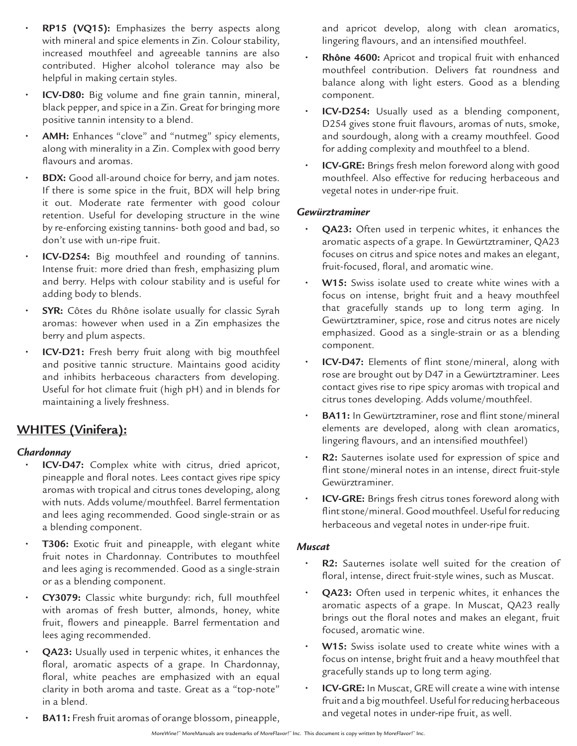- **• RP15 (VQ15):** Emphasizes the berry aspects along with mineral and spice elements in Zin. Colour stability, increased mouthfeel and agreeable tannins are also contributed. Higher alcohol tolerance may also be helpful in making certain styles.
- **• ICV-D80:** Big volume and fine grain tannin, mineral, black pepper, and spice in a Zin. Great for bringing more positive tannin intensity to a blend.
- **• AMH:** Enhances "clove" and "nutmeg" spicy elements, along with minerality in a Zin. Complex with good berry flavours and aromas.
- **• BDX:** Good all-around choice for berry, and jam notes. If there is some spice in the fruit, BDX will help bring it out. Moderate rate fermenter with good colour retention. Useful for developing structure in the wine by re-enforcing existing tannins- both good and bad, so don't use with un-ripe fruit.
- **• ICV-D254:** Big mouthfeel and rounding of tannins. Intense fruit: more dried than fresh, emphasizing plum and berry. Helps with colour stability and is useful for adding body to blends.
- **• SYR:** Côtes du Rhône isolate usually for classic Syrah aromas: however when used in a Zin emphasizes the berry and plum aspects.
- **• ICV-D21:** Fresh berry fruit along with big mouthfeel and positive tannic structure. Maintains good acidity and inhibits herbaceous characters from developing. Useful for hot climate fruit (high pH) and in blends for maintaining a lively freshness.

## **WHITES (Vinifera):**

#### *Chardonnay*

- **• ICV-D47:** Complex white with citrus, dried apricot, pineapple and floral notes. Lees contact gives ripe spicy aromas with tropical and citrus tones developing, along with nuts. Adds volume/mouthfeel. Barrel fermentation and lees aging recommended. Good single-strain or as a blending component.
- **• T306:** Exotic fruit and pineapple, with elegant white fruit notes in Chardonnay. Contributes to mouthfeel and lees aging is recommended. Good as a single-strain or as a blending component.
- **• CY3079:** Classic white burgundy: rich, full mouthfeel with aromas of fresh butter, almonds, honey, white fruit, flowers and pineapple. Barrel fermentation and lees aging recommended.
- **• QA23:** Usually used in terpenic whites, it enhances the floral, aromatic aspects of a grape. In Chardonnay, floral, white peaches are emphasized with an equal clarity in both aroma and taste. Great as a "top-note" in a blend.
- **• BA11:** Fresh fruit aromas of orange blossom, pineapple,
- **• Rhône 4600:** Apricot and tropical fruit with enhanced mouthfeel contribution. Delivers fat roundness and balance along with light esters. Good as a blending component.
- **• ICV-D254:** Usually used as a blending component, D254 gives stone fruit flavours, aromas of nuts, smoke, and sourdough, along with a creamy mouthfeel. Good for adding complexity and mouthfeel to a blend.
- **• ICV-GRE:** Brings fresh melon foreword along with good mouthfeel. Also effective for reducing herbaceous and vegetal notes in under-ripe fruit.

#### *Gewürztraminer*

- **• QA23:** Often used in terpenic whites, it enhances the aromatic aspects of a grape. In Gewürtztraminer, QA23 focuses on citrus and spice notes and makes an elegant, fruit-focused, floral, and aromatic wine.
- **• W15:** Swiss isolate used to create white wines with a focus on intense, bright fruit and a heavy mouthfeel that gracefully stands up to long term aging. In Gewürtztraminer, spice, rose and citrus notes are nicely emphasized. Good as a single-strain or as a blending component.
- **• ICV-D47:** Elements of flint stone/mineral, along with rose are brought out by D47 in a Gewürtztraminer. Lees contact gives rise to ripe spicy aromas with tropical and citrus tones developing. Adds volume/mouthfeel.
- **• BA11:** In Gewürtztraminer, rose and flint stone/mineral elements are developed, along with clean aromatics, lingering flavours, and an intensified mouthfeel)
- **• R2:** Sauternes isolate used for expression of spice and flint stone/mineral notes in an intense, direct fruit-style Gewürztraminer.
- **• ICV-GRE:** Brings fresh citrus tones foreword along with flint stone/mineral. Good mouthfeel. Useful for reducing herbaceous and vegetal notes in under-ripe fruit.

#### *Muscat*

- **• R2:** Sauternes isolate well suited for the creation of floral, intense, direct fruit-style wines, such as Muscat.
- **• QA23:** Often used in terpenic whites, it enhances the aromatic aspects of a grape. In Muscat, QA23 really brings out the floral notes and makes an elegant, fruit focused, aromatic wine.
- **• W15:** Swiss isolate used to create white wines with a focus on intense, bright fruit and a heavy mouthfeel that gracefully stands up to long term aging.
- **• ICV-GRE:** In Muscat, GRE will create a wine with intense fruit and a big mouthfeel. Useful for reducing herbaceous and vegetal notes in under-ripe fruit, as well.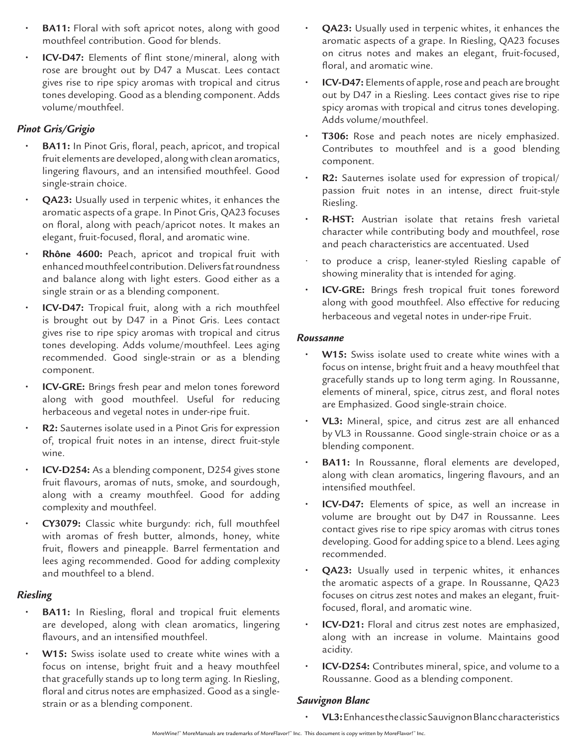- **BA11:** Floral with soft apricot notes, along with good mouthfeel contribution. Good for blends.
- **• ICV-D47:** Elements of flint stone/mineral, along with rose are brought out by D47 a Muscat. Lees contact gives rise to ripe spicy aromas with tropical and citrus tones developing. Good as a blending component. Adds volume/mouthfeel.

### *Pinot Gris/Grigio*

- **• BA11:** In Pinot Gris, floral, peach, apricot, and tropical fruit elements are developed, along with clean aromatics, lingering flavours, and an intensified mouthfeel. Good single-strain choice.
- **QA23:** Usually used in terpenic whites, it enhances the aromatic aspects of a grape. In Pinot Gris, QA23 focuses on floral, along with peach/apricot notes. It makes an elegant, fruit-focused, floral, and aromatic wine.
- **• Rhône 4600:** Peach, apricot and tropical fruit with enhanced mouthfeel contribution. Delivers fat roundness and balance along with light esters. Good either as a single strain or as a blending component.
- **• ICV-D47:** Tropical fruit, along with a rich mouthfeel is brought out by D47 in a Pinot Gris. Lees contact gives rise to ripe spicy aromas with tropical and citrus tones developing. Adds volume/mouthfeel. Lees aging recommended. Good single-strain or as a blending component.
- **ICV-GRE:** Brings fresh pear and melon tones foreword along with good mouthfeel. Useful for reducing herbaceous and vegetal notes in under-ripe fruit.
- **• R2:** Sauternes isolate used in a Pinot Gris for expression of, tropical fruit notes in an intense, direct fruit-style wine.
- **• ICV-D254:** As a blending component, D254 gives stone fruit flavours, aromas of nuts, smoke, and sourdough, along with a creamy mouthfeel. Good for adding complexity and mouthfeel.
- **• CY3079:** Classic white burgundy: rich, full mouthfeel with aromas of fresh butter, almonds, honey, white fruit, flowers and pineapple. Barrel fermentation and lees aging recommended. Good for adding complexity and mouthfeel to a blend.

#### *Riesling*

- **• BA11:** In Riesling, floral and tropical fruit elements are developed, along with clean aromatics, lingering flavours, and an intensified mouthfeel.
- **• W15:** Swiss isolate used to create white wines with a focus on intense, bright fruit and a heavy mouthfeel that gracefully stands up to long term aging. In Riesling, floral and citrus notes are emphasized. Good as a singlestrain or as a blending component.
- **• QA23:** Usually used in terpenic whites, it enhances the aromatic aspects of a grape. In Riesling, QA23 focuses on citrus notes and makes an elegant, fruit-focused, floral, and aromatic wine.
- **• ICV-D47:** Elements of apple, rose and peach are brought out by D47 in a Riesling. Lees contact gives rise to ripe spicy aromas with tropical and citrus tones developing. Adds volume/mouthfeel.
- **• T306:** Rose and peach notes are nicely emphasized. Contributes to mouthfeel and is a good blending component.
- **• R2:** Sauternes isolate used for expression of tropical/ passion fruit notes in an intense, direct fruit-style Riesling.
- **• R-HST:** Austrian isolate that retains fresh varietal character while contributing body and mouthfeel, rose and peach characteristics are accentuated. Used
- to produce a crisp, leaner-styled Riesling capable of showing minerality that is intended for aging.
- **• ICV-GRE:** Brings fresh tropical fruit tones foreword along with good mouthfeel. Also effective for reducing herbaceous and vegetal notes in under-ripe Fruit.

#### *Roussanne*

- **• W15:** Swiss isolate used to create white wines with a focus on intense, bright fruit and a heavy mouthfeel that gracefully stands up to long term aging. In Roussanne, elements of mineral, spice, citrus zest, and floral notes are Emphasized. Good single-strain choice.
- **• VL3:** Mineral, spice, and citrus zest are all enhanced by VL3 in Roussanne. Good single-strain choice or as a blending component.
- **• BA11:** In Roussanne, floral elements are developed, along with clean aromatics, lingering flavours, and an intensified mouthfeel.
- **• ICV-D47:** Elements of spice, as well an increase in volume are brought out by D47 in Roussanne. Lees contact gives rise to ripe spicy aromas with citrus tones developing. Good for adding spice to a blend. Lees aging recommended.
- **• QA23:** Usually used in terpenic whites, it enhances the aromatic aspects of a grape. In Roussanne, QA23 focuses on citrus zest notes and makes an elegant, fruitfocused, floral, and aromatic wine.
- **• ICV-D21:** Floral and citrus zest notes are emphasized, along with an increase in volume. Maintains good acidity.
- **• ICV-D254:** Contributes mineral, spice, and volume to a Roussanne. Good as a blending component.

#### *Sauvignon Blanc*

**• VL3:** Enhances the classic Sauvignon Blanc characteristics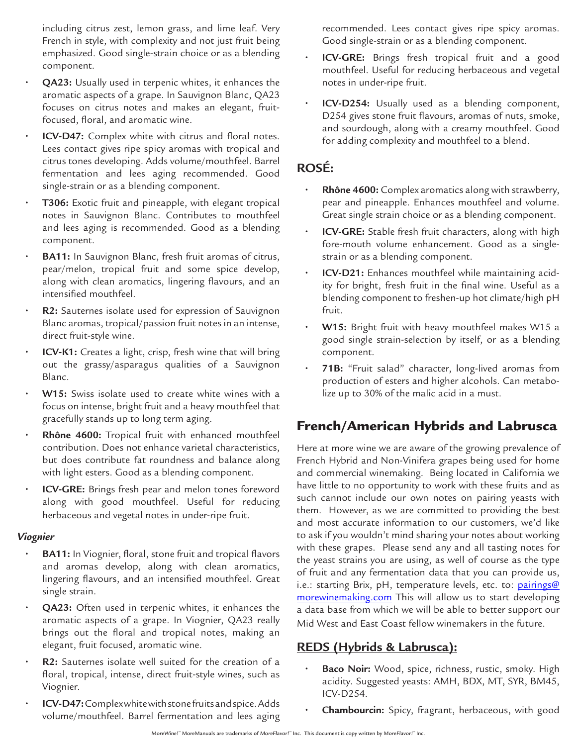including citrus zest, lemon grass, and lime leaf. Very French in style, with complexity and not just fruit being emphasized. Good single-strain choice or as a blending component.

- **• QA23:** Usually used in terpenic whites, it enhances the aromatic aspects of a grape. In Sauvignon Blanc, QA23 focuses on citrus notes and makes an elegant, fruitfocused, floral, and aromatic wine.
- **ICV-D47:** Complex white with citrus and floral notes. Lees contact gives ripe spicy aromas with tropical and citrus tones developing. Adds volume/mouthfeel. Barrel fermentation and lees aging recommended. Good single-strain or as a blending component.
- **• T306:** Exotic fruit and pineapple, with elegant tropical notes in Sauvignon Blanc. Contributes to mouthfeel and lees aging is recommended. Good as a blending component.
- **• BA11:** In Sauvignon Blanc, fresh fruit aromas of citrus, pear/melon, tropical fruit and some spice develop, along with clean aromatics, lingering flavours, and an intensified mouthfeel.
- **• R2:** Sauternes isolate used for expression of Sauvignon Blanc aromas, tropical/passion fruit notes in an intense, direct fruit-style wine.
- **• ICV-K1:** Creates a light, crisp, fresh wine that will bring out the grassy/asparagus qualities of a Sauvignon Blanc.
- **• W15:** Swiss isolate used to create white wines with a focus on intense, bright fruit and a heavy mouthfeel that gracefully stands up to long term aging.
- **• Rhône 4600:** Tropical fruit with enhanced mouthfeel contribution. Does not enhance varietal characteristics, but does contribute fat roundness and balance along with light esters. Good as a blending component.
- **• ICV-GRE:** Brings fresh pear and melon tones foreword along with good mouthfeel. Useful for reducing herbaceous and vegetal notes in under-ripe fruit.

#### *Viognier*

- **• BA11:** In Viognier, floral, stone fruit and tropical flavors and aromas develop, along with clean aromatics, lingering flavours, and an intensified mouthfeel. Great single strain.
- **• QA23:** Often used in terpenic whites, it enhances the aromatic aspects of a grape. In Viognier, QA23 really brings out the floral and tropical notes, making an elegant, fruit focused, aromatic wine.
- **• R2:** Sauternes isolate well suited for the creation of a floral, tropical, intense, direct fruit-style wines, such as Viognier.
- **• ICV-D47:** Complex white with stone fruits and spice. Adds volume/mouthfeel. Barrel fermentation and lees aging

recommended. Lees contact gives ripe spicy aromas. Good single-strain or as a blending component.

- **• ICV-GRE:** Brings fresh tropical fruit and a good mouthfeel. Useful for reducing herbaceous and vegetal notes in under-ripe fruit.
- **• ICV-D254:** Usually used as a blending component, D254 gives stone fruit flavours, aromas of nuts, smoke, and sourdough, along with a creamy mouthfeel. Good for adding complexity and mouthfeel to a blend.

# **ROSÉ:**

- **• Rhône 4600:** Complex aromatics along with strawberry, pear and pineapple. Enhances mouthfeel and volume. Great single strain choice or as a blending component.
- **• ICV-GRE:** Stable fresh fruit characters, along with high fore-mouth volume enhancement. Good as a singlestrain or as a blending component.
- **• ICV-D21:** Enhances mouthfeel while maintaining acidity for bright, fresh fruit in the final wine. Useful as a blending component to freshen-up hot climate/high pH fruit.
- **• W15:** Bright fruit with heavy mouthfeel makes W15 a good single strain-selection by itself, or as a blending component.
- **• 71B:** "Fruit salad" character, long-lived aromas from production of esters and higher alcohols. Can metabolize up to 30% of the malic acid in a must.

# French/American Hybrids and Labrusca

Here at more wine we are aware of the growing prevalence of French Hybrid and Non-Vinifera grapes being used for home and commercial winemaking. Being located in California we have little to no opportunity to work with these fruits and as such cannot include our own notes on pairing yeasts with them. However, as we are committed to providing the best and most accurate information to our customers, we'd like to ask if you wouldn't mind sharing your notes about working with these grapes. Please send any and all tasting notes for the yeast strains you are using, as well of course as the type of fruit and any fermentation data that you can provide us, i.e.: starting Brix, pH, temperature levels, etc. to: pairings@ morewinemaking.com This will allow us to start developing a data base from which we will be able to better support our Mid West and East Coast fellow winemakers in the future.

# **REDS (Hybrids & Labrusca):**

- **• Baco Noir:** Wood, spice, richness, rustic, smoky. High acidity. Suggested yeasts: AMH, BDX, MT, SYR, BM45, ICV-D254.
- **• Chambourcin:** Spicy, fragrant, herbaceous, with good